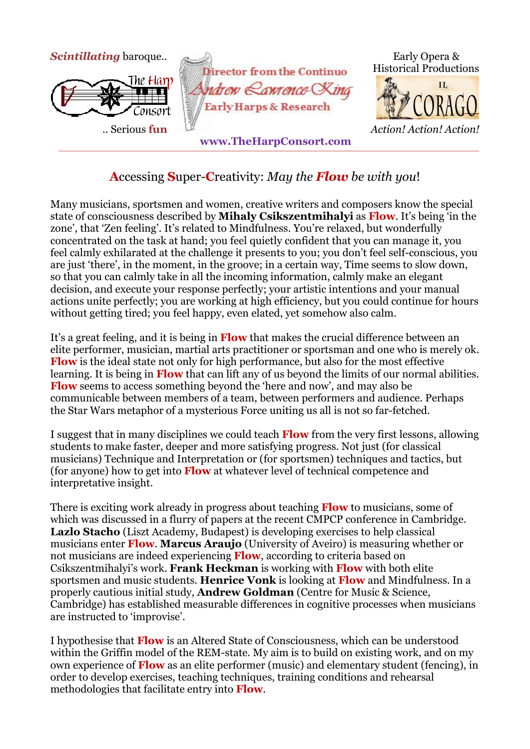

## **A**ccessing **S**uper-**C**reativity: *May the Flow be with you*!

Many musicians, sportsmen and women, creative writers and composers know the special state of consciousness described by **Mihaly Csikszentmihalyi** as **Flow**. It's being 'in the zone', that 'Zen feeling'. It's related to Mindfulness. You're relaxed, but wonderfully concentrated on the task at hand; you feel quietly confident that you can manage it, you feel calmly exhilarated at the challenge it presents to you; you don't feel self-conscious, you are just 'there', in the moment, in the groove; in a certain way, Time seems to slow down, so that you can calmly take in all the incoming information, calmly make an elegant decision, and execute your response perfectly; your artistic intentions and your manual actions unite perfectly; you are working at high efficiency, but you could continue for hours without getting tired; you feel happy, even elated, yet somehow also calm.

It's a great feeling, and it is being in **Flow** that makes the crucial difference between an elite performer, musician, martial arts practitioner or sportsman and one who is merely ok. **Flow** is the ideal state not only for high performance, but also for the most effective learning. It is being in **Flow** that can lift any of us beyond the limits of our normal abilities. **Flow** seems to access something beyond the 'here and now', and may also be communicable between members of a team, between performers and audience. Perhaps the Star Wars metaphor of a mysterious Force uniting us all is not so far-fetched.

I suggest that in many disciplines we could teach **Flow** from the very first lessons, allowing students to make faster, deeper and more satisfying progress. Not just (for classical musicians) Technique and Interpretation or (for sportsmen) techniques and tactics, but (for anyone) how to get into **Flow** at whatever level of technical competence and interpretative insight.

There is exciting work already in progress about teaching **Flow** to musicians, some of which was discussed in a flurry of papers at the recent CMPCP conference in Cambridge. **Lazlo Stacho** (Liszt Academy, Budapest) is developing exercises to help classical musicians enter **Flow**. **Marcus Araujo** (University of Aveiro) is measuring whether or not musicians are indeed experiencing **Flow**, according to criteria based on Csikszentmihalyi's work. **Frank Heckman** is working with **Flow** with both elite sportsmen and music students. **Henrice Vonk** is looking at **Flow** and Mindfulness. In a properly cautious initial study, **Andrew Goldman** (Centre for Music & Science, Cambridge) has established measurable differences in cognitive processes when musicians are instructed to 'improvise'.

I hypothesise that **Flow** is an Altered State of Consciousness, which can be understood within the Griffin model of the REM-state. My aim is to build on existing work, and on my own experience of **Flow** as an elite performer (music) and elementary student (fencing), in order to develop exercises, teaching techniques, training conditions and rehearsal methodologies that facilitate entry into **Flow**.